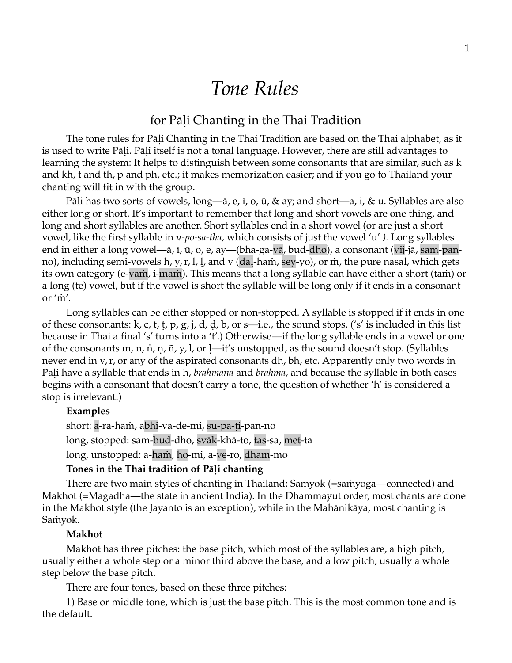# *Tone Rules*

# for Pāḷi Chanting in the Thai Tradition

The tone rules for Pāḷi Chanting in the Thai Tradition are based on the Thai alphabet, as it is used to write Pāḷi. Pāḷi itself is not a tonal language. However, there are still advantages to learning the system: It helps to distinguish between some consonants that are similar, such as k and kh, t and th, p and ph, etc.; it makes memorization easier; and if you go to Thailand your chanting will fit in with the group.

Pāḷi has two sorts of vowels, long—ā, e, ī, o, ū, & ay; and short—a, i, & u. Syllables are also either long or short. It's important to remember that long and short vowels are one thing, and long and short syllables are another. Short syllables end in a short vowel (or are just a short vowel, like the first syllable in *u-po-sa-tha,* which consists of just the vowel 'u' *).* Long syllables end in either a long vowel—ā, ī, ū, o, e, ay—(bha-ga-vā, bud-dho), a consonant (vij-jā, sam-panno), including semi-vowels h, y, r, l, l, and v (dal-ham, sey-yo), or m, the pure nasal, which gets its own category (e-vaṁ, i-maṁ). This means that a long syllable can have either a short (taṁ) or a long (te) vowel, but if the vowel is short the syllable will be long only if it ends in a consonant or 'ṁ'.

Long syllables can be either stopped or non-stopped. A syllable is stopped if it ends in one of these consonants: k, c, t, t, p, g, j, d, d, b, or s—i.e., the sound stops. ('s' is included in this list because in Thai a final 's' turns into a 't'.) Otherwise—if the long syllable ends in a vowel or one of the consonants m, n, n, n,  $\tilde{n}$ , y, l, or l—it's unstopped, as the sound doesn't stop. (Syllables never end in v, r, or any of the aspirated consonants dh, bh, etc. Apparently only two words in Pāḷi have a syllable that ends in h, *brāhmana* and *brahmā,* and because the syllable in both cases begins with a consonant that doesn't carry a tone, the question of whether 'h' is considered a stop is irrelevant.)

#### **Examples**

short: a-ra-ham, abhi-vā-de-mi, su-pa-ti-pan-no long, stopped: sam-bud-dho, svāk-khā-to, tas-sa, met-ta long, unstopped: a-haṁ, ho-mi, a-ve-ro, dham-mo

# **Tones in the Thai tradition of Pāḷi chanting**

There are two main styles of chanting in Thailand: Saṁyok (=saṁyoga—connected) and Makhot (=Magadha—the state in ancient India). In the Dhammayut order, most chants are done in the Makhot style (the Jayanto is an exception), while in the Mahānikāya, most chanting is Saṁyok.

#### **Makhot**

Makhot has three pitches: the base pitch, which most of the syllables are, a high pitch, usually either a whole step or a minor third above the base, and a low pitch, usually a whole step below the base pitch.

There are four tones, based on these three pitches:

1) Base or middle tone, which is just the base pitch. This is the most common tone and is the default.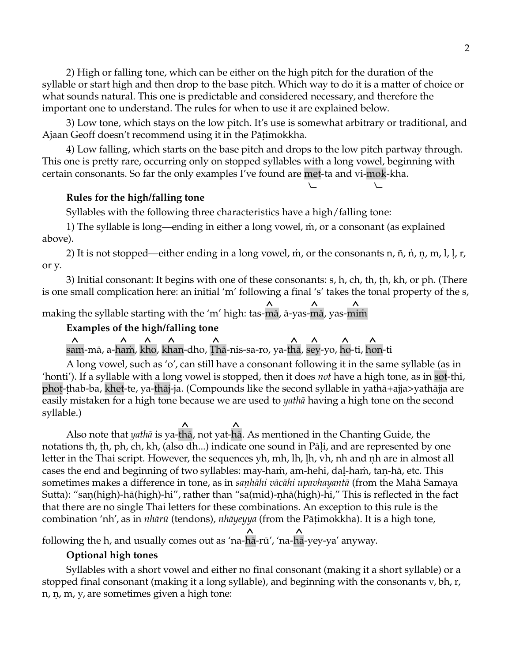2) High or falling tone, which can be either on the high pitch for the duration of the syllable or start high and then drop to the base pitch. Which way to do it is a matter of choice or what sounds natural. This one is predictable and considered necessary, and therefore the important one to understand. The rules for when to use it are explained below.

3) Low tone, which stays on the low pitch. It's use is somewhat arbitrary or traditional, and Ajaan Geoff doesn't recommend using it in the Pātimokkha.

4) Low falling, which starts on the base pitch and drops to the low pitch partway through. This one is pretty rare, occurring only on stopped syllables with a long vowel, beginning with certain consonants. So far the only examples I've found are met-ta and vi-mok-kha.

⦦⦦

## **Rules for the high/falling tone**

Syllables with the following three characteristics have a high/falling tone:

1) The syllable is long—ending in either a long vowel, ṁ, or a consonant (as explained above).

2) It is not stopped—either ending in a long vowel, ṁ, or the consonants n, ñ, ṅ, ṇ, m, l, ḷ, r, or y.

3) Initial consonant: It begins with one of these consonants: s, h, ch, th, ṭh, kh, or ph. (There is one small complication here: an initial 'm' following a final 's' takes the tonal property of the s,

 $\lambda$   $\lambda$   $\lambda$ making the syllable starting with the 'm' high: tas-mā, ā-yas-mā, yas-miṁ

#### **Examples of the high/falling tone**

<u> $\wedge$  $\wedge$  $\wedge$  $\wedge$  $\wedge$  $\wedge$  $\wedge$  $\wedge$  $\wedge$  $\wedge$  $\wedge$  $\wedge$ </u> sam-mā, a-haṁ, kho, khan-dho, Ṭhā-nis-sa-ro, ya-thā, sey-yo, ho-ti, hon-ti

A long vowel, such as 'o', can still have a consonant following it in the same syllable (as in 'honti'). If a syllable with a long vowel is stopped, then it does *not* have a high tone, as in sot-thi, phoṭ-ṭhab-ba, khet-te, ya-thāj-ja. (Compounds like the second syllable in yathā+ajja>yathājja are easily mistaken for a high tone because we are used to *yathā* having a high tone on the second syllable.)

 Also note that *yathā* is ya-thā, not yat-hā. As mentioned in the Chanting Guide, the notations th, th, ph, ch, kh, (also dh...) indicate one sound in Pāli, and are represented by one letter in the Thai script. However, the sequences yh, mh, lh, ḷh, vh, nh and ṇh are in almost all cases the end and beginning of two syllables: may-haṁ, am-hehi, daḷ-haṁ, taṇ-hā, etc. This sometimes makes a difference in tone, as in *saṇhāhi vācāhi upavhayantā* (from the Mahā Samaya Sutta): "saṇ(high)-hā(high)-hi", rather than "sa(mid)-ṇhā(high)-hi," This is reflected in the fact that there are no single Thai letters for these combinations. An exception to this rule is the combination 'nh', as in *nhārū* (tendons), *nhāyeyya* (from the Pāṭimokkha). It is a high tone,

  following the h, and usually comes out as 'na-hā-rū', 'na-hā-yey-ya' anyway.

#### **Optional high tones**

Syllables with a short vowel and either no final consonant (making it a short syllable) or a stopped final consonant (making it a long syllable), and beginning with the consonants v, bh, r, n, n, m, y, are sometimes given a high tone: